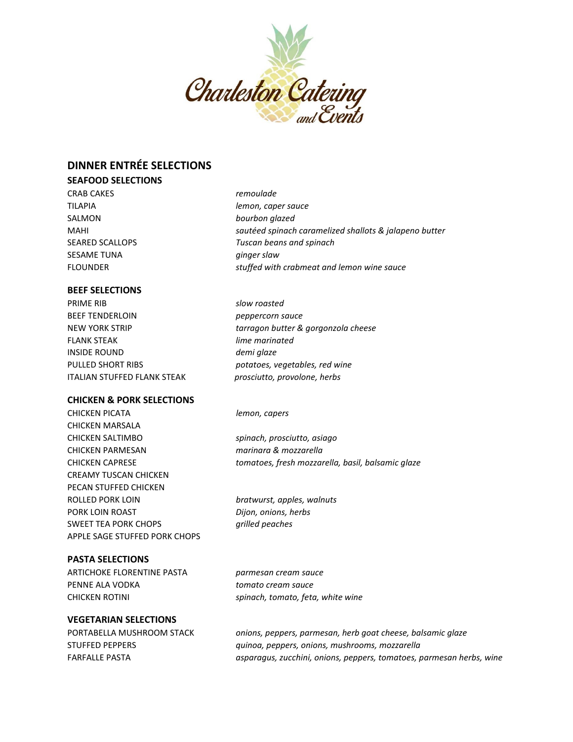

# **DINNER ENTRÉE SELECTIONS**

### **SEAFOOD SELECTIONS**

CRAB CAKES *remoulade* TILAPIA *lemon, caper sauce* SALMON *bourbon glazed* SESAME TUNA *ginger slaw*

### **BEEF SELECTIONS**

PRIME RIB *slow roasted* BEEF TENDERLOIN *peppercorn sauce* FLANK STEAK *lime marinated* INSIDE ROUND *demi glaze* PULLED SHORT RIBS *potatoes, vegetables, red wine* ITALIAN STUFFED FLANK STEAK *prosciutto, provolone, herbs*

### **CHICKEN & PORK SELECTIONS**

CHICKEN PICATA *lemon, capers* CHICKEN MARSALA CHICKEN SALTIMBO *spinach, prosciutto, asiago* CHICKEN PARMESAN *marinara & mozzarella* CREAMY TUSCAN CHICKEN PECAN STUFFED CHICKEN ROLLED PORK LOIN *bratwurst, apples, walnuts* PORK LOIN ROAST *Dijon, onions, herbs* SWEET TEA PORK CHOPS *grilled peaches* APPLE SAGE STUFFED PORK CHOPS

## **PASTA SELECTIONS**

ARTICHOKE FLORENTINE PASTA *parmesan cream sauce* PENNE ALA VODKA *tomato cream sauce* CHICKEN ROTINI *spinach, tomato, feta, white wine*

### **VEGETARIAN SELECTIONS**

MAHI *sautéed spinach caramelized shallots & jalapeno butter* SEARED SCALLOPS *Tuscan beans and spinach* FLOUNDER *stuffed with crabmeat and lemon wine sauce*

NEW YORK STRIP *tarragon butter & gorgonzola cheese*

CHICKEN CAPRESE *tomatoes, fresh mozzarella, basil, balsamic glaze*

PORTABELLA MUSHROOM STACK *onions, peppers, parmesan, herb goat cheese, balsamic glaze* STUFFED PEPPERS *quinoa, peppers, onions, mushrooms, mozzarella* FARFALLE PASTA *asparagus, zucchini, onions, peppers, tomatoes, parmesan herbs, wine*